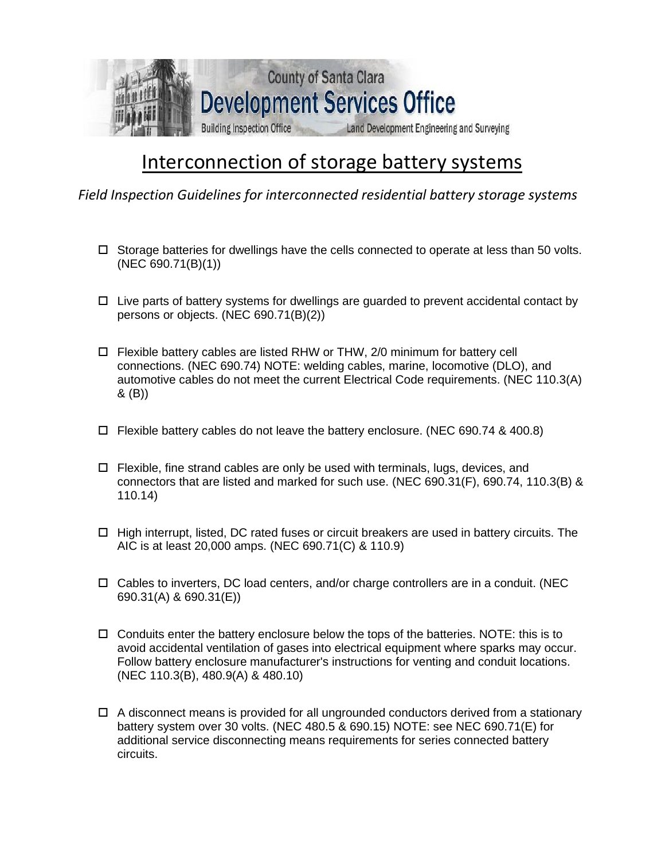

## Interconnection of storage battery systems

*Field Inspection Guidelines for interconnected residential battery storage systems* 

- $\Box$  Storage batteries for dwellings have the cells connected to operate at less than 50 volts. (NEC 690.71(B)(1))
- $\Box$  Live parts of battery systems for dwellings are guarded to prevent accidental contact by persons or objects. (NEC 690.71(B)(2))
- Flexible battery cables are listed RHW or THW, 2/0 minimum for battery cell connections. (NEC 690.74) NOTE: welding cables, marine, locomotive (DLO), and automotive cables do not meet the current Electrical Code requirements. (NEC 110.3(A) & (B))
- $\Box$  Flexible battery cables do not leave the battery enclosure. (NEC 690.74 & 400.8)
- $\Box$  Flexible, fine strand cables are only be used with terminals, lugs, devices, and connectors that are listed and marked for such use. (NEC 690.31(F), 690.74, 110.3(B) & 110.14)
- $\Box$  High interrupt, listed, DC rated fuses or circuit breakers are used in battery circuits. The AIC is at least 20,000 amps. (NEC 690.71(C) & 110.9)
- $\Box$  Cables to inverters, DC load centers, and/or charge controllers are in a conduit. (NEC 690.31(A) & 690.31(E))
- $\Box$  Conduits enter the battery enclosure below the tops of the batteries. NOTE: this is to avoid accidental ventilation of gases into electrical equipment where sparks may occur. Follow battery enclosure manufacturer's instructions for venting and conduit locations. (NEC 110.3(B), 480.9(A) & 480.10)
- $\Box$  A disconnect means is provided for all ungrounded conductors derived from a stationary battery system over 30 volts. (NEC 480.5 & 690.15) NOTE: see NEC 690.71(E) for additional service disconnecting means requirements for series connected battery circuits.